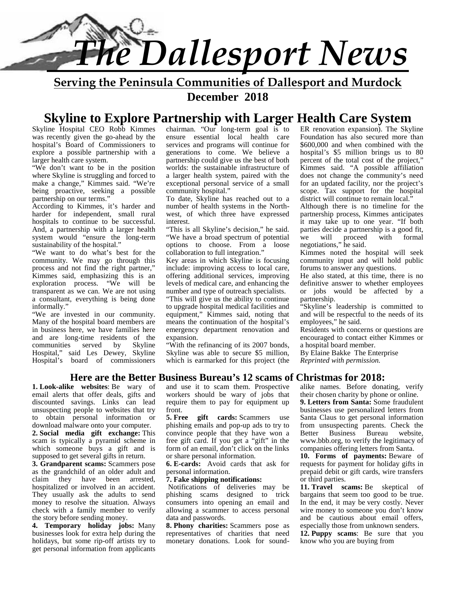

**Serving the Peninsula Communities of Dallesport and Murdock**

**December 2018**

# **Skyline to Explore Partnership with Larger Health Care System**

Skyline Hospital CEO Robb Kimmes was recently given the go-ahead by the hospital's Board of Commissioners to explore a possible partnership with a larger health care system.

"We don't want to be in the position where Skyline is struggling and forced to make a change," Kimmes said. "We're being proactive, seeking a possible partnership on our terms."

According to Kimmes, it's harder and harder for independent, small rural hospitals to continue to be successful. And, a partnership with a larger health system would "ensure the long-term sustainability of the hospital."

"We want to do what's best for the community. We may go through this process and not find the right partner," Kimmes said, emphasizing this is an exploration process. "We will be transparent as we can. We are not using a consultant, everything is being done informally."

"We are invested in our community. Many of the hospital board members are in business here, we have families here and are long-time residents of the<br>communities served by Skyline communities served by Hospital," said Les Dewey, Skyline Hospital's board of commissioners chairman. "Our long-term goal is to ensure essential local health care services and programs will continue for generations to come. We believe a partnership could give us the best of both worlds: the sustainable infrastructure of a larger health system, paired with the exceptional personal service of a small community hospital."

To date, Skyline has reached out to a number of health systems in the North west, of which three have expressed interest.

"This is all Skyline's decision," he said. "We have a broad spectrum of potential options to choose. From a loose collaboration to full integration."

Key areas in which Skyline is focusing include: improving access to local care, offering additional services, improving levels of medical care, and enhancing the number and type of outreach specialists.

"This will give us the ability to continue to upgrade hospital medical facilities and equipment," Kimmes said, noting that means the continuation of the hospital's emergency department renovation and expansion.

"With the refinancing of its 2007 bonds, Skyline was able to secure \$5 million, which is earmarked for this project (the ER renovation expansion). The Skyline Foundation has also secured more than \$600,000 and when combined with the hospital's \$5 million brings us to 80 percent of the total cost of the project," Kimmes said. "A possible affiliation does not change the community's need for an updated facility, nor the project's scope. Tax support for the hospital district will continue to remain local."

Although there is no timeline for the partnership process, Kimmes anticipates it may take up to one year. "If both parties decide a partnership is a good fit, will proceed with formal negotiations," he said.

Kimmes noted the hospital will seek community input and will hold public forums to answer any questions.

He also stated, at this time, there is no definitive answer to whether employees or jobs would be affected by a partnership.

"Skyline's leadership is committed to and will be respectful to the needs of its employees," he said.

Residents with concerns or questions are encouraged to contact either Kimmes or a hospital board member.

By Elaine Bakke The Enterprise *Reprinted with permission.*

#### **Here are the Better Business Bureau's 12 scams of Christmas for 2018:**

**1. Look-alike websites**: Be wary of email alerts that offer deals, gifts and discounted savings. Links can lead unsuspecting people to websites that try to obtain personal information or download malware onto your computer. **2. Social media gift exchange:** This scam is typically a pyramid scheme in which someone buys a gift and is supposed to get several gifts in return.

**3. Grandparent scams:** Scammers pose as the grandchild of an older adult and claim they have been arrested, hospitalized or involved in an accident. They usually ask the adults to send money to resolve the situation. Always check with a family member to verify the story before sending money.

**4. Temporary holiday jobs:** Many businesses look for extra help during the holidays, but some rip-off artists try to get personal information from applicants and use it to scam them. Prospective workers should be wary of jobs that require them to pay for equipment up front.

**5. Free gift cards:** Scammers use phishing emails and pop-up ads to try to convince people that they have won a Better free gift card. If you get a "gift" in the form of an email, don't click on the links or share personal information.

**6. E-cards:** Avoid cards that ask for personal information.

#### **7. Fake shipping notifications:**

Notifications of deliveries may be phishing scams designed to trick consumers into opening an email and allowing a scammer to access personal data and passwords.

**8. Phony charities:** Scammers pose as representatives of charities that need monetary donations. Look for soundalike names. Before donating, verify their chosen charity by phone or online.

**9. Letters from Santa:** Some fraudulent businesses use personalized letters from Santa Claus to get personal information from unsuspecting parents. Check the<br>Better Business Bureau website. Business Bureau website, www.bbb.org, to verify the legitimacy of companies offering letters from Santa.

**10. Forms of payments:** Beware of requests for payment for holiday gifts in prepaid debit or gift cards, wire transfers or third parties.

**11. Travel scams:** Be skeptical of bargains that seem too good to be true. In the end, it may be very costly. Never wire money to someone you don't know and be cautious about email offers, especially those from unknown senders.

**12. Puppy scams**: Be sure that you know who you are buying from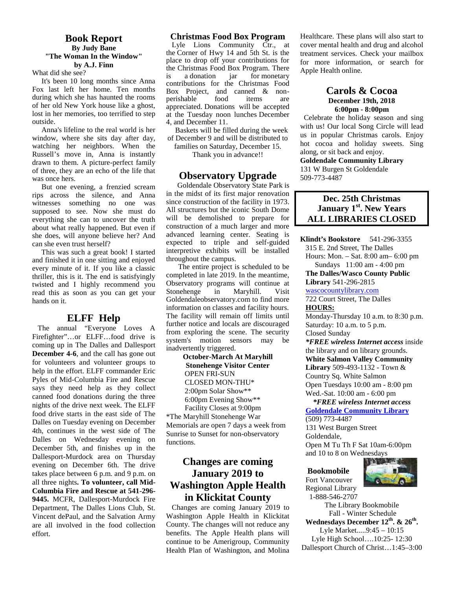#### **Book Report By Judy Bane "The Woman In the Window" by A.J. Finn**

What did she see?

It's been 10 long months since Anna Fox last left her home. Ten months during which she has haunted the rooms of her old New York house like a ghost, lost in her memories, too terrified to step outside.

Anna's lifeline to the real world is her window, where she sits day after day, watching her neighbors. When the Russell's move in, Anna is instantly drawn to them. A picture-perfect family of three, they are an echo of the life that was once hers.

But one evening, a frenzied scream rips across the silence, and Anna witnesses something no one was supposed to see. Now she must do everything she can to uncover the truth about what really happened. But even if she does, will anyone believe her? And can she even trust herself?

This was such a great book! I started and finished it in one sitting and enjoyed every minute of it. If you like a classic thriller, this is it. The end is satisfyingly twisted and I highly recommend you read this as soon as you can get your hands on it.

#### **ELFF Help**

The annual "Everyone Loves A Firefighter"…or ELFF…food drive is coming up in The Dalles and Dallesport **December 4-6**, and the call has gone out for volunteers and volunteer groups to help in the effort. ELFF commander Eric Pyles of Mid-Columbia Fire and Rescue says they need help as they collect canned food donations during the three nights of the drive next week. The ELFF food drive starts in the east side of The Dalles on Tuesday evening on December 4th, continues in the west side of The Dalles on Wednesday evening on December 5th, and finishes up in the Dallesport-Murdock area on Thursday evening on December 6th. The drive takes place between 6 p.m. and 9 p.m. on all three nights**. To volunteer, call Mid- Columbia Fire and Rescue at 541-296- 9445.** MCFR, Dallesport-Murdock Fire Department, The Dalles Lions Club, St. Vincent dePaul, and the Salvation Army are all involved in the food collection effort.

#### **Christmas Food Box Program**

Lyle Lions Community Ctr., at the Corner of Hwy 14 and 5th St. is the place to drop off your contributions for the Christmas Food Box Program. There is a donation jar for monetary contributions for the Christmas Food Box Project, and canned & non-<br>perishable food items are perishable food items are appreciated. Donations will be accepted at the Tuesday noon lunches December 4, and December 11.

Baskets will be filled during the week of December 9 and will be distributed to

families on Saturday, December 15. Thank you in advance!!

#### **Observatory Upgrade**

Goldendale Observatory State Park is in the midst of its first major renovation since construction of the facility in 1973. All structures but the iconic South Dome will be demolished to prepare for construction of a much larger and more advanced learning center. Seating is expected to triple and self-guided interpretive exhibits will be installed throughout the campus.

 The entire project is scheduled to be completed in late 2019. In the meantime, Observatory programs will continue at Stonehenge in Maryhill. Visit Goldendaleobservatory.com to find more information on classes and facility hours. The facility will remain off limits until further notice and locals are discouraged from exploring the scene. The security system's motion sensors may be inadvertently triggered.

> **October-March At Maryhill Stonehenge Visitor Center** OPEN FRI-SUN CLOSED MON-THU\* 2:00pm Solar Show\*\* 6:00pm Evening Show\*\* Facility Closes at 9:00pm

\*The Maryhill Stonehenge War Memorials are open 7 days a week from Sunrise to Sunset for non-observatory functions.

## **Changes are coming January 2019 to Washington Apple Health in Klickitat County**

Changes are coming January 2019 to Washington Apple Health in Klickitat County. The changes will not reduce any benefits. The Apple Health plans will continue to be Amerigroup, Community Health Plan of Washington, and Molina Healthcare. These plans will also start to cover mental health and drug and alcohol treatment services. Check your mailbox for more information, or search for Apple Health online.

#### **Carols & Cocoa December 19th, 2018 6:00pm - 8:00pm**

Celebrate the holiday season and sing with us! Our local Song Circle will lead us in popular Christmas carols. Enjoy hot cocoa and holiday sweets. Sing along, or sit back and enjoy. **Goldendale Community Library**

131 W Burgen St Goldendale 509-773-4487

#### **Dec. 25th Christmas January 1st. New Years ALL LIBRARIES CLOSED**

**Klindt's Bookstore** 541-296-3355 315 E. 2nd Street, The Dalles Hours: Mon. – Sat. 8:00 am– 6:00 pm Sundays 11:00 am - 4:00 pm **The Dalles/Wasco County Public Library** 541-296-2815 wascocountylibrary.com 722 Court Street, The Dalles **HOURS:** Monday-Thursday 10 a.m. to 8:30 p.m. Saturday: 10 a.m. to 5 p.m. Closed Sunday *\*FREE wireless Internet access* inside the library and on library grounds. **White Salmon Valley Community Library** 509-493-1132 - Town & Country Sq. White Salmon Open Tuesdays 10:00 am - 8:00 pm Wed.-Sat. 10:00 am - 6:00 pm  *\*FREE wireless Internet access* **Goldendale Community Library**

(509) 773-4487 131 West Burgen Street Goldendale, Open M Tu Th F Sat 10am-6:00pm and 10 to 8 on Wednesdays



**Bookmobile** Fort Vancouver Regional Library 1-888-546-2707

The Library Bookmobile Fall - Winter Schedule

**Wednesdays December 12th. & 26th .** Lyle Market.....9:45 – 10:15

Lyle High School….10:25- 12:30 Dallesport Church of Christ…1:45–3:00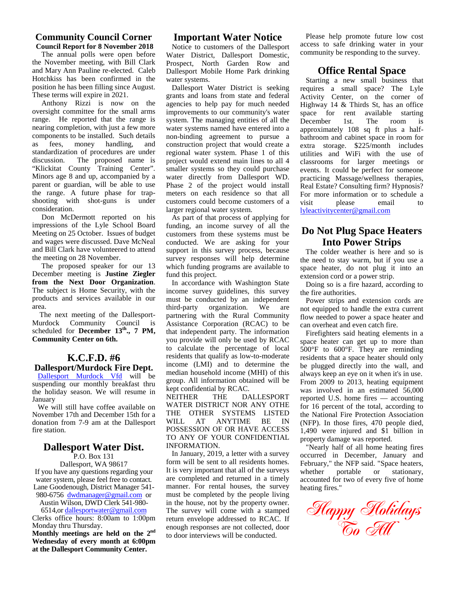#### **Community Council Corner Council Report for 8 November 2018**

The annual polls were open before the November meeting, with Bill Clark and Mary Ann Pauline re-elected. Caleb Hotchkiss has been confirmed in the position he has been filling since August. These terms will expire in 2021.

Anthony Rizzi is now on the oversight committee for the small arms range. He reported that the range is nearing completion, with just a few more components to be installed. Such details as fees, money handling, and standardization of procedures are under discussion. The proposed name is "Klickitat County Training Center". Minors age 8 and up, accompanied by a parent or guardian, will be able to use the range. A future phase for trap shooting with shot-guns is under consideration.

Don McDermott reported on his impressions of the Lyle School Board Meeting on 25 October. Issues of budget and wages were discussed. Dave McNeal and Bill Clark have volunteered to attend the meeting on 28 November.

The proposed speaker for our 13 December meeting is **Justine Ziegler from the Next Door Organization**. The subject is Home Security, with the products and services available in our area.

The next meeting of the Dallesport- Murdock Community Council is scheduled for **December 13th ., 7 PM, Community Center on 6th.**

# **K.C.F.D. #6**

## **Dallesport/Murdock Fire Dept.**

Dallesport Murdock Vfd will be suspending our monthly breakfast thru the holiday season. We will resume in Rept contribution<br>NEITHER January

We will still have coffee available on November 17th and December 15th for a donation from 7-9 am at the Dallesport fire station.

## **Dallesport Water Dist.**

P.O. Box 131

Dallesport, WA 98617 If you have any questions regarding your water system, please feel free to contact. Lane Goodenough, District Manager 541- 980-6756 dwdmanager@gmail.com or

Austin Wilson, DWD Clerk 541-980-

6514,or dallesportwater@gmail.com Clerks office hours: 8:00am to 1:00pm Monday thru Thursday.

**Monthly meetings are held on the 2nd Wednesday of every month at 6:00pm at the Dallesport Community Center.**

### **Important Water Notice**

Notice to customers of the Dallesport Water District, Dallesport Domestic, Prospect, North Garden Row and Dallesport Mobile Home Park drinking water systems.

Dallesport Water District is seeking grants and loans from state and federal agencies to help pay for much needed improvements to our community's water system. The managing entities of all the water systems named have entered into a non-binding agreement to pursue a construction project that would create a regional water system. Phase 1 of this project would extend main lines to all 4 smaller systems so they could purchase water directly from Dallesport WD. Phase 2 of the project would install meters on each residence so that all customers could become customers of a visit larger regional water system.

As part of that process of applying for funding, an income survey of all the customers from these systems must be conducted. We are asking for your support in this survey process, because survey responses will help determine which funding programs are available to fund this project.

In accordance with Washington State income survey guidelines, this survey must be conducted by an independent third-party organization. We are partnering with the Rural Community Assistance Corporation (RCAC) to be that independent party. The information you provide will only be used by RCAC to calculate the percentage of local residents that qualify as low-to-moderate income (LMI) and to determine the median household income (MHI) of this group. All information obtained will be kept confidential by RCAC.

THE DALLESPORT WATER DISTRICT NOR ANY OTHE THE OTHER SYSTEMS LISTED WILL AT ANYTIME BE IN POSSESSION OF OR HAVE ACCESS TO ANY OF YOUR CONFIDENTIAL INFORMATION.

In January, 2019, a letter with a survey form will be sent to all residents homes. It is very important that all of the surveys whether are completed and returned in a timely manner. For rental houses, the survey must be completed by the people living in the house, not by the property owner. The survey will come with a stamped return envelope addressed to RCAC. If enough responses are not collected, door to door interviews will be conducted.

Please help promote future low cost access to safe drinking water in your community be responding to the survey.

## **Office Rental Space**

Starting a new small business that requires a small space? The Lyle Activity Center, on the corner of Highway 14 & Thirds St, has an office space for rent available starting December 1st. The room is approximately 108 sq ft plus a half bathroom and cabinet space in room for extra storage. \$225/month includes utilities and WiFi with the use of classrooms for larger meetings or events. It could be perfect for someone practicing Massage/wellness therapies, Real Estate? Consulting firm? Hypnosis? For more information or to schedule a please email to lyleactivitycenter@gmail.com

## **Do Not Plug Space Heaters Into Power Strips**

The colder weather is here and so is the need to stay warm, but if you use a space heater, do not plug it into an extension cord or a power strip.

Doing so is a fire hazard, according to the fire authorities.

Power strips and extension cords are not equipped to handle the extra current flow needed to power a space heater and can overheat and even catch fire.

Firefighters said heating elements in a space heater can get up to more than 500°F to 600°F. They are reminding residents that a space heater should only be plugged directly into the wall, and always keep an eye on it when it's in use. From 2009 to 2013, heating equipment was involved in an estimated 56,000 reported U.S. home fires — accounting for 16 percent of the total, according to the National Fire Protection Association (NFP). In those fires, 470 people died, 1,490 were injured and \$1 billion in property damage was reported.

"Nearly half of all home heating fires occurred in December, January and February," the NFP said. "Space heaters, portable or stationary, accounted for two of every five of home heating fires."

**Happy Holidays To All**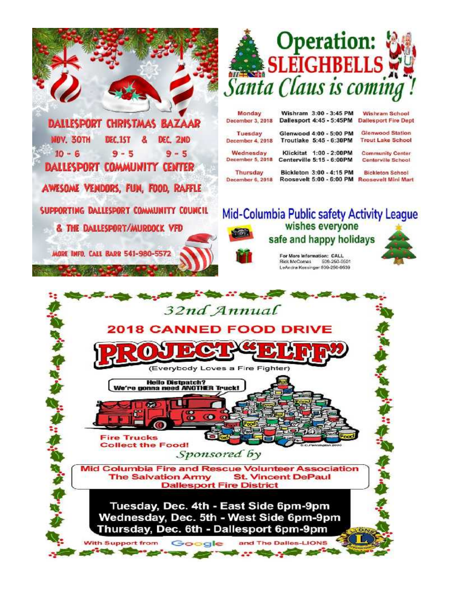

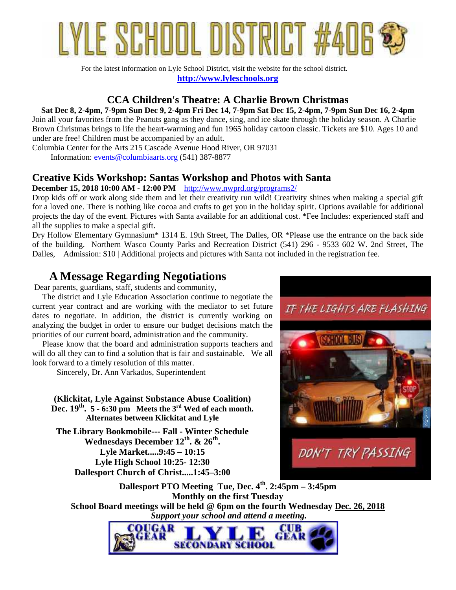

For the latest information on Lyle School District, visit the website for the school district. **http://www.lyleschools.org**

## **CCA Children's Theatre: A Charlie Brown Christmas**

**Sat Dec 8, 2-4pm, 7-9pm Sun Dec 9, 2-4pm Fri Dec 14, 7-9pm Sat Dec 15, 2-4pm, 7-9pm Sun Dec 16, 2-4pm**

Join all your favorites from the Peanuts gang as they dance, sing, and ice skate through the holiday season. A Charlie Brown Christmas brings to life the heart-warming and fun 1965 holiday cartoon classic. Tickets are \$10. Ages 10 and under are free! Children must be accompanied by an adult.

Columbia Center for the Arts 215 Cascade Avenue Hood River, OR 97031

Information: events@columbiaarts.org (541) 387-8877

## **Creative Kids Workshop: Santas Workshop and Photos with Santa**

**December 15, 2018 10:00 AM - 12:00 PM** http://www.nwprd.org/programs2/

Drop kids off or work along side them and let their creativity run wild! Creativity shines when making a special gift for a loved one. There is nothing like cocoa and crafts to get you in the holiday spirit. Options available for additional projects the day of the event. Pictures with Santa available for an additional cost. \*Fee Includes: experienced staff and all the supplies to make a special gift.

Dry Hollow Elementary Gymnasium\* 1314 E. 19th Street, The Dalles, OR \*Please use the entrance on the back side of the building. Northern Wasco County Parks and Recreation District (541) 296 - 9533 602 W. 2nd Street, The Dalles, Admission: \$10 | Additional projects and pictures with Santa not included in the registration fee.

# **A Message Regarding Negotiations**

Dear parents, guardians, staff, students and community,

 The district and Lyle Education Association continue to negotiate the current year contract and are working with the mediator to set future  $TF$  THE LIGHTS ARE FLASHING dates to negotiate. In addition, the district is currently working on analyzing the budget in order to ensure our budget decisions match the priorities of our current board, administration and the community.

 Please know that the board and administration supports teachers and will do all they can to find a solution that is fair and sustainable. We all look forward to a timely resolution of this matter.

Sincerely, Dr. Ann Varkados, Superintendent

**(Klickitat, Lyle Against Substance Abuse Coalition) Dec. 19th . 5 - 6:30 pm Meets the 3rd Wed of each month. Alternates between Klickitat and Lyle**

**The Library Bookmobile--- Fall - Winter Schedule Wednesdays December 12th. & 26th . Lyle Market.....9:45 – 10:15 Lyle High School 10:25- 12:30 Dallesport Church of Christ.....1:45–3:00**



**Dallesport PTO Meeting Tue, Dec. 4th . 2:45pm – 3:45pm Monthly on the first Tuesday School Board meetings will be held @ 6pm on the fourth Wednesday Dec. 26, 2018**  *Support your school and attend a meeting.*

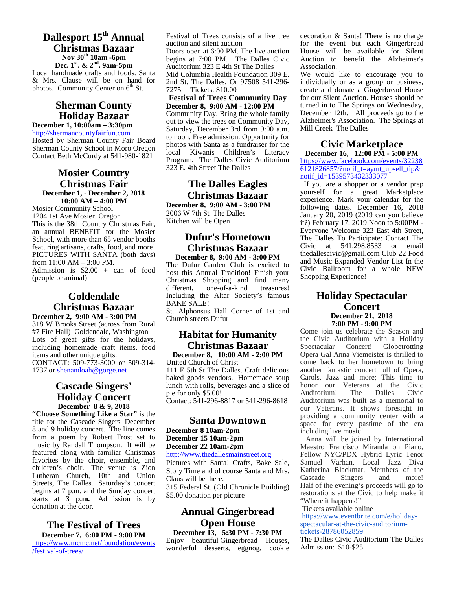#### **Dallesport 15th Annual Christmas Bazaar Nov 30th 10am -6pm Dec. 1st. & 2nd. 9am-5pm**

Local handmade crafts and foods. Santa & Mrs. Clause will be on hand for photos. Community Center on 6<sup>th</sup> St.

#### **Sherman County Holiday Bazaar**

**December 1, 10:00am – 3:30pm** http://shermancountyfairfun.com Hosted by Sherman County Fair Board Sherman County School in Moro Oregon Contact Beth McCurdy at 541-980-1821

#### **Mosier Country Christmas Fair December 1, - December 2, 2018 10:00 AM – 4:00 PM**

Mosier Community School 1204 1st Ave Mosier, Oregon This is the 38th Country Christmas Fair, an annual BENEFIT for the Mosier School, with more than 65 vendor booths featuring artisans, crafts, food, and more! PICTURES WITH SANTA (both days) from 11:00 AM – 3:00 PM. Admission is \$2.00 + can of food (people or animal)

## **Goldendale Christmas Bazaar**

**December 2, 9:00 AM - 3:00 PM** 318 W Brooks Street (across from Rural #7 Fire Hall) Goldendale, Washington Lots of great gifts for the holidays, including homemade craft items, food items and other unique gifts. CONTACT: 509-773-3000 or 509-314- 1737 or shenandoah@gorge.net

#### **Cascade Singers' Holiday Concert December 8 & 9, 2018**

**"Choose Something Like a Star"** is the title for the Cascade Singers' December 8 and 9 holiday concert. The line comes from a poem by Robert Frost set to Dece music by Randall Thompson. It will be **Dece** featured along with familiar Christmas favorites by the choir, ensemble, and children's choir. The venue is Zion Lutheran Church, 10th and Union  $\frac{\mu_{\text{max}}}{\text{Class}}$ Streets, The Dalles. Saturday's concert  $\frac{8}{3}$ begins at 7 p.m. and the Sunday concert starts at **3 p.m.** Admission is by donation at the door.

#### **The Festival of Trees December 7, 6:00 PM - 9:00 PM**

https://www.mcmc.net/foundation/events /festival-of-trees/

Festival of Trees consists of a live tree auction and silent auction

Doors open at 6:00 PM. The live auction begins at 7:00 PM. The Dalles Civic Auditorium 323 E 4th St The Dalles Mid Columbia Health Foundation 309 E.

2nd St. The Dalles, Or 97508 541-296- 7275 Tickets: \$10.00

**Festival of Trees Community Day December 8, 9:00 AM - 12:00 PM**

Community Day. Bring the whole family out to view the trees on Community Day, Saturday, December 3rd from 9:00 a.m. to noon. Free admission. Opportunity for photos with Santa as a fundraiser for the local Kiwanis Children's Literacy Program. The Dalles Civic Auditorium 323 E. 4th Street The Dalles

## **The Dalles Eagles Christmas Bazaar**

**December 8, 9:00 AM - 3:00 PM** 2006 W 7th St The Dalles Kitchen will be Open

## **Dufur's Hometown Christmas Bazaar**

**December 8, 9:00 AM - 3:00 PM** The Dufur Garden Club is excited to host this Annual Tradition! Finish your Christmas Shopping and find many<br>different. one-of-a-kind treasures! one-of-a-kind Including the Altar Society's famous BAKE SALE!

St. Alphonsus Hall Corner of 1st and Church streets Dufur

## **Habitat for Humanity Christmas Bazaar**

**December 8, 10:00 AM - 2:00 PM** United Church of Christ 111 E 5th St The Dalles. Craft delicious baked goods vendors. Homemade soup lunch with rolls, beverages and a slice of pie for only \$5.00! Contact: 541-296-8817 or 541-296-8618

#### **Santa Downtown**

**December 8 10am-2pm December 15 10am-2pm December 22 10am-2pm** http://www.thedallesmainstreet.org

Pictures with Santa! Crafts, Bake Sale, Story Time and of course Santa and Mrs. Katherin<br>Claus will be there Cascade Claus will be there. 315 Federal St. (Old Chronicle Building)

\$5.00 donation per picture

## **Annual Gingerbread Open House**

**December 13, 5:30 PM - 7:30 PM** Enjoy beautiful Gingerbread Houses, wonderful desserts, eggnog, cookie decoration & Santa! There is no charge for the event but each Gingerbread House will be available for Silent Auction to benefit the Alzheimer's Association.

We would like to encourage you to individually or as a group or business, create and donate a Gingerbread House for our Silent Auction. Houses should be turned in to The Springs on Wednesday, December 12th. All proceeds go to the Alzheimer's Association. The Springs at Mill Creek The Dalles

## **Civic Marketplace**

**December 16, 12:00 PM - 5:00 PM** https://www.facebook.com/events/32238  $\overline{6121826857}$ ?notif\_t=aymt\_upsell\_tip& notif\_id=1539573432333077

If you are a shopper or a vendor prep yourself for a great Marketplace experience. Mark your calendar for the following dates. December 16, 2018 January 20, 2019 (2019 can you believe it?) February 17, 2019 Noon to 5:00PM - Everyone Welcome 323 East 4th Street, The Dalles To Participate: Contact The Civic at 541.298.8533 or email thedallescivic@gmail.com Club 22 Food and Music Expanded Vendor List In the Civic Ballroom for a whole NEW Shopping Experience!

#### **Holiday Spectacular Concert December 21, 2018 7:00 PM - 9:00 PM**

Come join us celebrate the Season and the Civic Auditorium with a Holiday Concert! Globetrotting Opera Gal Anna Viemeister is thrilled to come back to her hometown to bring another fantastic concert full of Opera, Carols, Jazz and more; This time to honor our Veterans at the Civic Auditorium! The Dalles Civic Auditorium was built as a memorial to our Veterans. It shows foresight in providing a community center with a space for every pastime of the era including live music!

Anna will be joined by International Maestro Francisco Miranda on Piano, Fellow NYC/PDX Hybrid Lyric Tenor Samuel Varhan, Local Jazz Diva Katherina Blackmar, Members of the Singers and more! Half of the evening's proceeds will go to restorations at the Civic to help make it "Where it happens!"

Tickets available online

https://www.eventbrite.com/e/holiday spectacular-at-the-civic-auditoriumtickets-28786052859

The Dalles Civic Auditorium The Dalles Admission: \$10-\$25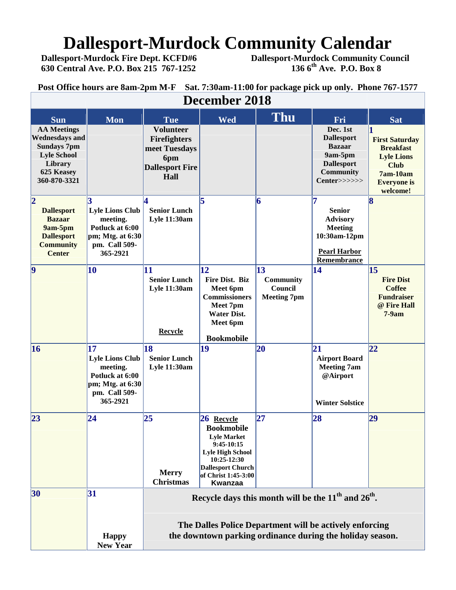# **Dallesport-Murdock Community Calendar**<br>Dallesport-Murdock Fire Dept. KCFD#6 Dallesport-Murdock Community Cou

 **Dallesport-Murdock Fire Dept. KCFD#6 Dallesport-Murdock Community Council 630 Central Ave. P.O. Box 215 767-1252 136 6th Ave. P.O. Box 8**

**Post Office hours are 8am-2pm M-F Sat. 7:30am-11:00 for package pick up only. Phone 767-1577**

| December 2018                                                                                                                    |                                                                                                                           |                                                                                                                                                                                 |                                                                                                                                                                               |                                                          |                                                                                                                    |                                                                                                                               |
|----------------------------------------------------------------------------------------------------------------------------------|---------------------------------------------------------------------------------------------------------------------------|---------------------------------------------------------------------------------------------------------------------------------------------------------------------------------|-------------------------------------------------------------------------------------------------------------------------------------------------------------------------------|----------------------------------------------------------|--------------------------------------------------------------------------------------------------------------------|-------------------------------------------------------------------------------------------------------------------------------|
| <b>Sun</b>                                                                                                                       | <b>Mon</b>                                                                                                                | <b>Tue</b>                                                                                                                                                                      | <b>Wed</b>                                                                                                                                                                    | <b>Thu</b>                                               | Fri                                                                                                                | <b>Sat</b>                                                                                                                    |
| <b>AA Meetings</b><br><b>Wednesdays and</b><br><b>Sundays 7pm</b><br><b>Lyle School</b><br>Library<br>625 Keasey<br>360-870-3321 |                                                                                                                           | <b>Volunteer</b><br>Firefighters<br>meet Tuesdays<br>6pm<br><b>Dallesport Fire</b><br>Hall                                                                                      |                                                                                                                                                                               |                                                          | Dec. 1st<br><b>Dallesport</b><br><b>Bazaar</b><br>9am-5pm<br><b>Dallesport</b><br><b>Community</b><br>Center>>>>>> | <b>First Saturday</b><br><b>Breakfast</b><br><b>Lyle Lions</b><br><b>Club</b><br>$7am-10am$<br><b>Everyone</b> is<br>welcome! |
| $\overline{2}$<br><b>Dallesport</b><br><b>Bazaar</b><br>9am-5pm<br><b>Dallesport</b><br><b>Community</b><br><b>Center</b>        | 3<br><b>Lyle Lions Club</b><br>meeting.<br>Potluck at 6:00<br>pm; Mtg. at 6:30<br>pm. Call 509-<br>365-2921               | $\overline{\bf{4}}$<br><b>Senior Lunch</b><br><b>Lyle 11:30am</b>                                                                                                               | 5                                                                                                                                                                             | 6                                                        | 17<br><b>Senior</b><br><b>Advisory</b><br><b>Meeting</b><br>10:30am-12pm<br><b>Pearl Harbor</b><br>Remembrance     | 8                                                                                                                             |
| $\vert \mathbf{9} \vert$                                                                                                         | <b>10</b>                                                                                                                 | 11<br><b>Senior Lunch</b><br><b>Lyle 11:30am</b><br><b>Recycle</b>                                                                                                              | 12<br>Fire Dist. Biz<br>Meet 6pm<br><b>Commissioners</b><br>Meet 7pm<br><b>Water Dist.</b><br>Meet 6pm<br><b>Bookmobile</b>                                                   | $\vert$ 13<br>Community<br>Council<br><b>Meeting 7pm</b> | 14                                                                                                                 | 15<br><b>Fire Dist</b><br><b>Coffee</b><br><b>Fundraiser</b><br>@ Fire Hall<br>$7-9am$                                        |
| 16                                                                                                                               | $\overline{17}$<br><b>Lyle Lions Club</b><br>meeting.<br>Potluck at 6:00<br>pm; Mtg. at 6:30<br>pm. Call 509-<br>365-2921 | 18<br><b>Senior Lunch</b><br><b>Lyle 11:30am</b>                                                                                                                                | 19                                                                                                                                                                            | 20                                                       | 21<br><b>Airport Board</b><br><b>Meeting 7am</b><br>@Airport<br><b>Winter Solstice</b>                             | 22                                                                                                                            |
| 23                                                                                                                               | 24                                                                                                                        | 25<br><b>Merry</b><br><b>Christmas</b>                                                                                                                                          | 26 Recycle<br><b>Bookmobile</b><br><b>Lyle Market</b><br>$9:45-10:15$<br><b>Lyle High School</b><br>10:25-12:30<br><b>Dallesport Church</b><br>of Christ 1:45-3:00<br>Kwanzaa | 27                                                       | 28                                                                                                                 | 29                                                                                                                            |
| 30                                                                                                                               | 31<br><b>Happy</b><br><b>New Year</b>                                                                                     | Recycle days this month will be the $11th$ and $26th$ .<br>The Dalles Police Department will be actively enforcing<br>the downtown parking ordinance during the holiday season. |                                                                                                                                                                               |                                                          |                                                                                                                    |                                                                                                                               |